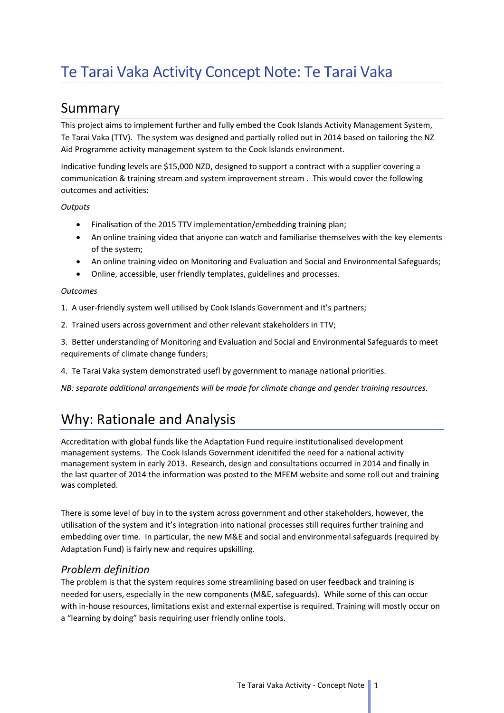## Summary

This project aims to implement further and fully embed the Cook Islands Activity Management System, Te Tarai Vaka (TTV). The system was designed and partially rolled out in 2014 based on tailoring the NZ Aid Programme activity management system to the Cook Islands environment.

Indicative funding levels are \$15,000 NZD, designed to support a contract with a supplier covering a communication & training stream and system improvement stream . This would cover the following outcomes and activities:

*Outputs*

- Finalisation of the 2015 TTV implementation/embedding training plan;
- An online training video that anyone can watch and familiarise themselves with the key elements of the system;
- An online training video on Monitoring and Evaluation and Social and Environmental Safeguards;
- Online, accessible, user friendly templates, guidelines and processes.

#### *Outcomes*

1. A user-friendly system well utilised by Cook Islands Government and it's partners;

2. Trained users across government and other relevant stakeholders in TTV;

3. Better understanding of Monitoring and Evaluation and Social and Environmental Safeguards to meet requirements of climate change funders;

4. Te Tarai Vaka system demonstrated usefl by government to manage national priorities.

*NB: separate additional arrangements will be made for climate change and gender training resources.*

# Why: Rationale and Analysis

Accreditation with global funds like the Adaptation Fund require institutionalised development management systems. The Cook Islands Government idenitifed the need for a national activity management system in early 2013. Research, design and consultations occurred in 2014 and finally in the last quarter of 2014 the information was posted to the MFEM website and some roll out and training was completed.

There is some level of buy in to the system across government and other stakeholders, however, the utilisation of the system and it's integration into national processes still requires further training and embedding over time. In particular, the new M&E and social and environmental safeguards (required by Adaptation Fund) is fairly new and requires upskilling.

### *Problem definition*

The problem is that the system requires some streamlining based on user feedback and training is needed for users, especially in the new components (M&E, safeguards). While some of this can occur with in-house resources, limitations exist and external expertise is required. Training will mostly occur on a "learning by doing" basis requiring user friendly online tools.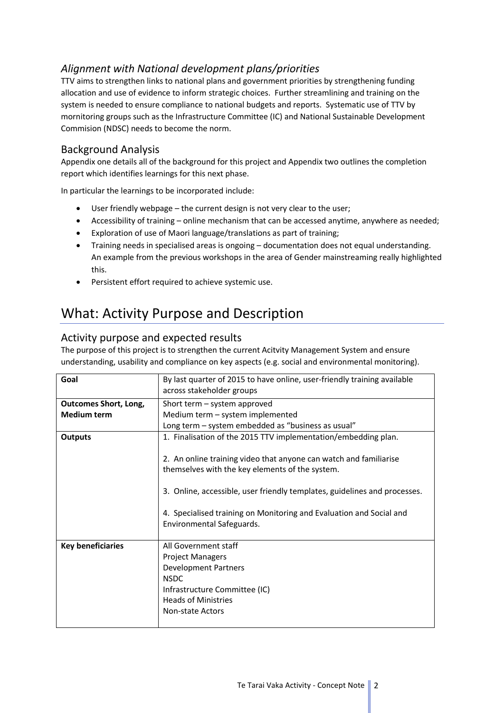### *Alignment with National development plans/priorities*

TTV aims to strengthen links to national plans and government priorities by strengthening funding allocation and use of evidence to inform strategic choices. Further streamlining and training on the system is needed to ensure compliance to national budgets and reports. Systematic use of TTV by mornitoring groups such as the Infrastructure Committee (IC) and National Sustainable Development Commision (NDSC) needs to become the norm.

### Background Analysis

Appendix one details all of the background for this project and Appendix two outlines the completion report which identifies learnings for this next phase.

In particular the learnings to be incorporated include:

- User friendly webpage the current design is not very clear to the user;
- Accessibility of training online mechanism that can be accessed anytime, anywhere as needed;
- Exploration of use of Maori language/translations as part of training;
- Training needs in specialised areas is ongoing documentation does not equal understanding. An example from the previous workshops in the area of Gender mainstreaming really highlighted this.
- Persistent effort required to achieve systemic use.

## What: Activity Purpose and Description

#### Activity purpose and expected results

The purpose of this project is to strengthen the current Acitvity Management System and ensure understanding, usability and compliance on key aspects (e.g. social and environmental monitoring).

| Goal                                               | By last quarter of 2015 to have online, user-friendly training available<br>across stakeholder groups                                                                                                                                                                                                                                                                   |
|----------------------------------------------------|-------------------------------------------------------------------------------------------------------------------------------------------------------------------------------------------------------------------------------------------------------------------------------------------------------------------------------------------------------------------------|
| <b>Outcomes Short, Long,</b><br><b>Medium term</b> | Short term - system approved<br>Medium term - system implemented<br>Long term – system embedded as "business as usual"                                                                                                                                                                                                                                                  |
| <b>Outputs</b>                                     | 1. Finalisation of the 2015 TTV implementation/embedding plan.<br>2. An online training video that anyone can watch and familiarise<br>themselves with the key elements of the system.<br>3. Online, accessible, user friendly templates, guidelines and processes.<br>4. Specialised training on Monitoring and Evaluation and Social and<br>Environmental Safeguards. |
| <b>Key beneficiaries</b>                           | All Government staff<br><b>Project Managers</b><br>Development Partners<br><b>NSDC</b><br>Infrastructure Committee (IC)<br><b>Heads of Ministries</b><br>Non-state Actors                                                                                                                                                                                               |